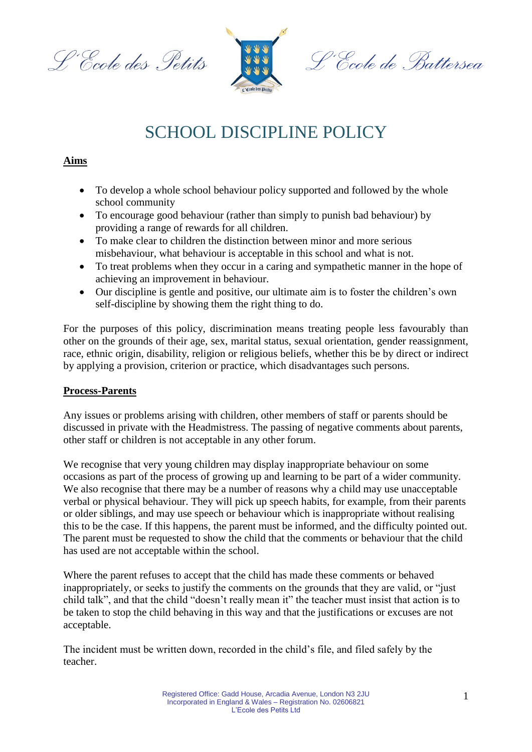L'Ecole des Petits



'Ecole de Battersea

# SCHOOL DISCIPLINE POLICY

# **Aims**

- To develop a whole school behaviour policy supported and followed by the whole school community
- To encourage good behaviour (rather than simply to punish bad behaviour) by providing a range of rewards for all children.
- To make clear to children the distinction between minor and more serious misbehaviour, what behaviour is acceptable in this school and what is not.
- To treat problems when they occur in a caring and sympathetic manner in the hope of achieving an improvement in behaviour.
- Our discipline is gentle and positive, our ultimate aim is to foster the children's own self-discipline by showing them the right thing to do.

For the purposes of this policy, discrimination means treating people less favourably than other on the grounds of their age, sex, marital status, sexual orientation, gender reassignment, race, ethnic origin, disability, religion or religious beliefs, whether this be by direct or indirect by applying a provision, criterion or practice, which disadvantages such persons.

## **Process-Parents**

Any issues or problems arising with children, other members of staff or parents should be discussed in private with the Headmistress. The passing of negative comments about parents, other staff or children is not acceptable in any other forum.

We recognise that very young children may display inappropriate behaviour on some occasions as part of the process of growing up and learning to be part of a wider community. We also recognise that there may be a number of reasons why a child may use unacceptable verbal or physical behaviour. They will pick up speech habits, for example, from their parents or older siblings, and may use speech or behaviour which is inappropriate without realising this to be the case. If this happens, the parent must be informed, and the difficulty pointed out. The parent must be requested to show the child that the comments or behaviour that the child has used are not acceptable within the school.

Where the parent refuses to accept that the child has made these comments or behaved inappropriately, or seeks to justify the comments on the grounds that they are valid, or "just child talk", and that the child "doesn't really mean it" the teacher must insist that action is to be taken to stop the child behaving in this way and that the justifications or excuses are not acceptable.

The incident must be written down, recorded in the child's file, and filed safely by the teacher.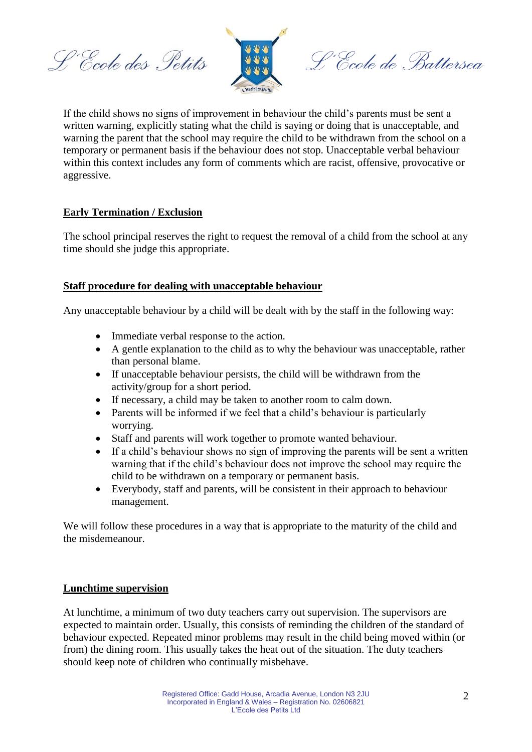L'Ecole des Petits



L'Ecole de Battersea

If the child shows no signs of improvement in behaviour the child's parents must be sent a written warning, explicitly stating what the child is saying or doing that is unacceptable, and warning the parent that the school may require the child to be withdrawn from the school on a temporary or permanent basis if the behaviour does not stop. Unacceptable verbal behaviour within this context includes any form of comments which are racist, offensive, provocative or aggressive.

## **Early Termination / Exclusion**

The school principal reserves the right to request the removal of a child from the school at any time should she judge this appropriate.

## **Staff procedure for dealing with unacceptable behaviour**

Any unacceptable behaviour by a child will be dealt with by the staff in the following way:

- Immediate verbal response to the action.
- A gentle explanation to the child as to why the behaviour was unacceptable, rather than personal blame.
- If unacceptable behaviour persists, the child will be withdrawn from the activity/group for a short period.
- If necessary, a child may be taken to another room to calm down.
- Parents will be informed if we feel that a child's behaviour is particularly worrying.
- Staff and parents will work together to promote wanted behaviour.
- If a child's behaviour shows no sign of improving the parents will be sent a written warning that if the child's behaviour does not improve the school may require the child to be withdrawn on a temporary or permanent basis.
- Everybody, staff and parents, will be consistent in their approach to behaviour management.

We will follow these procedures in a way that is appropriate to the maturity of the child and the misdemeanour.

#### **Lunchtime supervision**

At lunchtime, a minimum of two duty teachers carry out supervision. The supervisors are expected to maintain order. Usually, this consists of reminding the children of the standard of behaviour expected. Repeated minor problems may result in the child being moved within (or from) the dining room. This usually takes the heat out of the situation. The duty teachers should keep note of children who continually misbehave.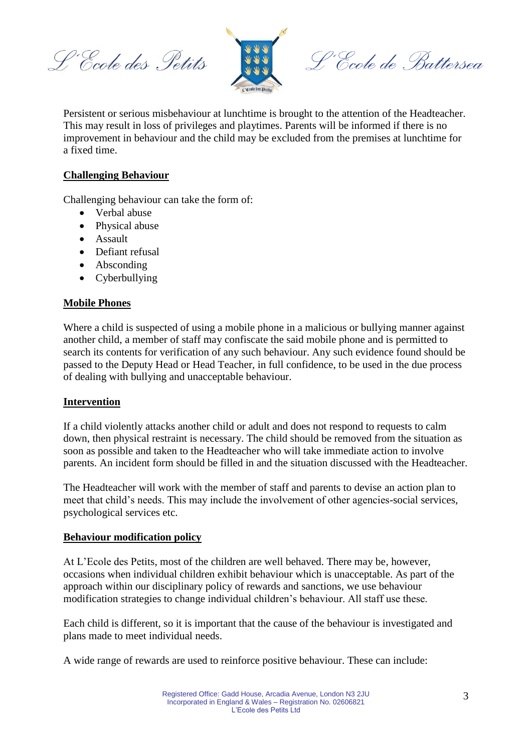L'Ecole des Petits



L'École de Battersea

Persistent or serious misbehaviour at lunchtime is brought to the attention of the Headteacher. This may result in loss of privileges and playtimes. Parents will be informed if there is no improvement in behaviour and the child may be excluded from the premises at lunchtime for a fixed time.

## **Challenging Behaviour**

Challenging behaviour can take the form of:

- Verbal abuse
- Physical abuse
- Assault
- Defiant refusal
- Absconding
- Cyberbullying

## **Mobile Phones**

Where a child is suspected of using a mobile phone in a malicious or bullying manner against another child, a member of staff may confiscate the said mobile phone and is permitted to search its contents for verification of any such behaviour. Any such evidence found should be passed to the Deputy Head or Head Teacher, in full confidence, to be used in the due process of dealing with bullying and unacceptable behaviour.

#### **Intervention**

If a child violently attacks another child or adult and does not respond to requests to calm down, then physical restraint is necessary. The child should be removed from the situation as soon as possible and taken to the Headteacher who will take immediate action to involve parents. An incident form should be filled in and the situation discussed with the Headteacher.

The Headteacher will work with the member of staff and parents to devise an action plan to meet that child's needs. This may include the involvement of other agencies-social services, psychological services etc.

#### **Behaviour modification policy**

At L'Ecole des Petits, most of the children are well behaved. There may be, however, occasions when individual children exhibit behaviour which is unacceptable. As part of the approach within our disciplinary policy of rewards and sanctions, we use behaviour modification strategies to change individual children's behaviour. All staff use these.

Each child is different, so it is important that the cause of the behaviour is investigated and plans made to meet individual needs.

A wide range of rewards are used to reinforce positive behaviour. These can include: